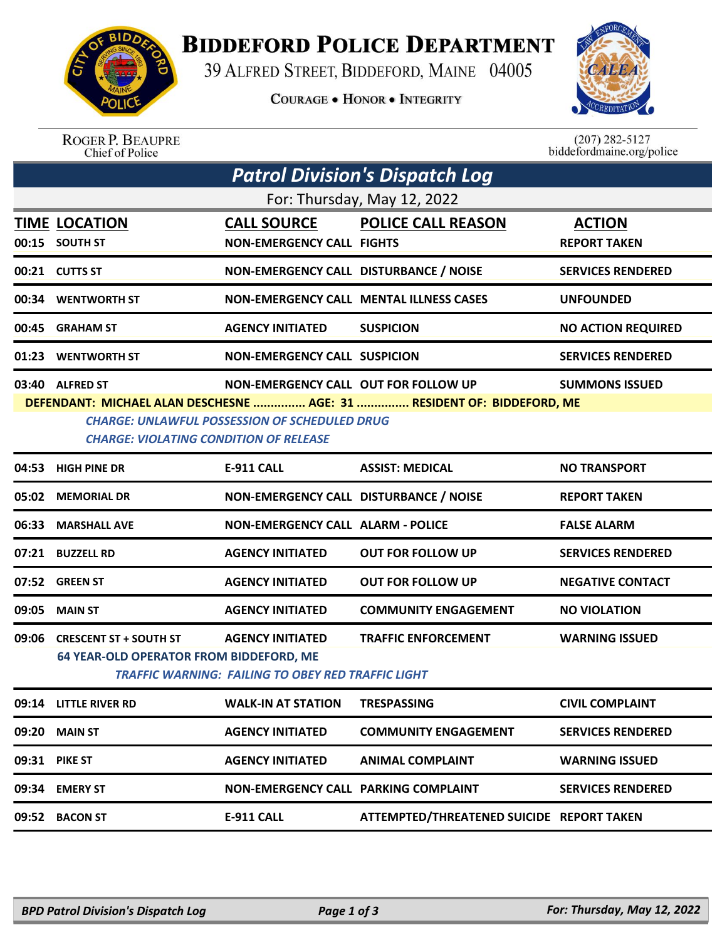

## **BIDDEFORD POLICE DEPARTMENT**

39 ALFRED STREET, BIDDEFORD, MAINE 04005

**COURAGE . HONOR . INTEGRITY** 



ROGER P. BEAUPRE<br>Chief of Police

 $(207)$  282-5127<br>biddefordmaine.org/police

| <b>Patrol Division's Dispatch Log</b>                |                                                           |                                             |                                                                        |                           |  |  |  |  |  |
|------------------------------------------------------|-----------------------------------------------------------|---------------------------------------------|------------------------------------------------------------------------|---------------------------|--|--|--|--|--|
| For: Thursday, May 12, 2022                          |                                                           |                                             |                                                                        |                           |  |  |  |  |  |
|                                                      | <b>TIME LOCATION</b>                                      | <b>CALL SOURCE</b>                          | <b>POLICE CALL REASON</b>                                              | <b>ACTION</b>             |  |  |  |  |  |
|                                                      | 00:15 SOUTH ST                                            | <b>NON-EMERGENCY CALL FIGHTS</b>            |                                                                        | <b>REPORT TAKEN</b>       |  |  |  |  |  |
|                                                      | 00:21 CUTTS ST                                            | NON-EMERGENCY CALL DISTURBANCE / NOISE      |                                                                        | <b>SERVICES RENDERED</b>  |  |  |  |  |  |
|                                                      | 00:34 WENTWORTH ST                                        |                                             | <b>NON-EMERGENCY CALL MENTAL ILLNESS CASES</b>                         | <b>UNFOUNDED</b>          |  |  |  |  |  |
|                                                      | 00:45 GRAHAM ST                                           | <b>AGENCY INITIATED</b>                     | <b>SUSPICION</b>                                                       | <b>NO ACTION REQUIRED</b> |  |  |  |  |  |
|                                                      | 01:23 WENTWORTH ST                                        | <b>NON-EMERGENCY CALL SUSPICION</b>         |                                                                        | <b>SERVICES RENDERED</b>  |  |  |  |  |  |
|                                                      | 03:40 ALFRED ST                                           | NON-EMERGENCY CALL OUT FOR FOLLOW UP        |                                                                        | <b>SUMMONS ISSUED</b>     |  |  |  |  |  |
|                                                      |                                                           |                                             | DEFENDANT: MICHAEL ALAN DESCHESNE  AGE: 31  RESIDENT OF: BIDDEFORD, ME |                           |  |  |  |  |  |
| <b>CHARGE: UNLAWFUL POSSESSION OF SCHEDULED DRUG</b> |                                                           |                                             |                                                                        |                           |  |  |  |  |  |
| <b>CHARGE: VIOLATING CONDITION OF RELEASE</b>        |                                                           |                                             |                                                                        |                           |  |  |  |  |  |
| 04:53                                                | <b>HIGH PINE DR</b>                                       | <b>E-911 CALL</b>                           | <b>ASSIST: MEDICAL</b>                                                 | <b>NO TRANSPORT</b>       |  |  |  |  |  |
| 05:02                                                | <b>MEMORIAL DR</b>                                        | NON-EMERGENCY CALL DISTURBANCE / NOISE      |                                                                        | <b>REPORT TAKEN</b>       |  |  |  |  |  |
| 06:33                                                | <b>MARSHALL AVE</b>                                       | <b>NON-EMERGENCY CALL ALARM - POLICE</b>    |                                                                        | <b>FALSE ALARM</b>        |  |  |  |  |  |
|                                                      | 07:21 BUZZELL RD                                          | <b>AGENCY INITIATED</b>                     | <b>OUT FOR FOLLOW UP</b>                                               | <b>SERVICES RENDERED</b>  |  |  |  |  |  |
|                                                      | 07:52 GREEN ST                                            | <b>AGENCY INITIATED</b>                     | <b>OUT FOR FOLLOW UP</b>                                               | <b>NEGATIVE CONTACT</b>   |  |  |  |  |  |
| 09:05                                                | <b>MAIN ST</b>                                            | <b>AGENCY INITIATED</b>                     | <b>COMMUNITY ENGAGEMENT</b>                                            | <b>NO VIOLATION</b>       |  |  |  |  |  |
|                                                      | 09:06 CRESCENT ST + SOUTH ST                              | <b>AGENCY INITIATED</b>                     | <b>TRAFFIC ENFORCEMENT</b>                                             | <b>WARNING ISSUED</b>     |  |  |  |  |  |
|                                                      | <b>64 YEAR-OLD OPERATOR FROM BIDDEFORD, ME</b>            |                                             |                                                                        |                           |  |  |  |  |  |
|                                                      | <b>TRAFFIC WARNING: FAILING TO OBEY RED TRAFFIC LIGHT</b> |                                             |                                                                        |                           |  |  |  |  |  |
|                                                      | 09:14 LITTLE RIVER RD                                     | WALK-IN AT STATION                          | TRESPASSING                                                            | <b>CIVIL COMPLAINT</b>    |  |  |  |  |  |
| 09:20                                                | <b>MAIN ST</b>                                            | <b>AGENCY INITIATED</b>                     | <b>COMMUNITY ENGAGEMENT</b>                                            | <b>SERVICES RENDERED</b>  |  |  |  |  |  |
|                                                      | <b>09:31 PIKE ST</b>                                      | <b>AGENCY INITIATED</b>                     | <b>ANIMAL COMPLAINT</b>                                                | <b>WARNING ISSUED</b>     |  |  |  |  |  |
|                                                      | 09:34 EMERY ST                                            | <b>NON-EMERGENCY CALL PARKING COMPLAINT</b> |                                                                        | <b>SERVICES RENDERED</b>  |  |  |  |  |  |
|                                                      | 09:52 BACON ST                                            | <b>E-911 CALL</b>                           | ATTEMPTED/THREATENED SUICIDE REPORT TAKEN                              |                           |  |  |  |  |  |
|                                                      |                                                           |                                             |                                                                        |                           |  |  |  |  |  |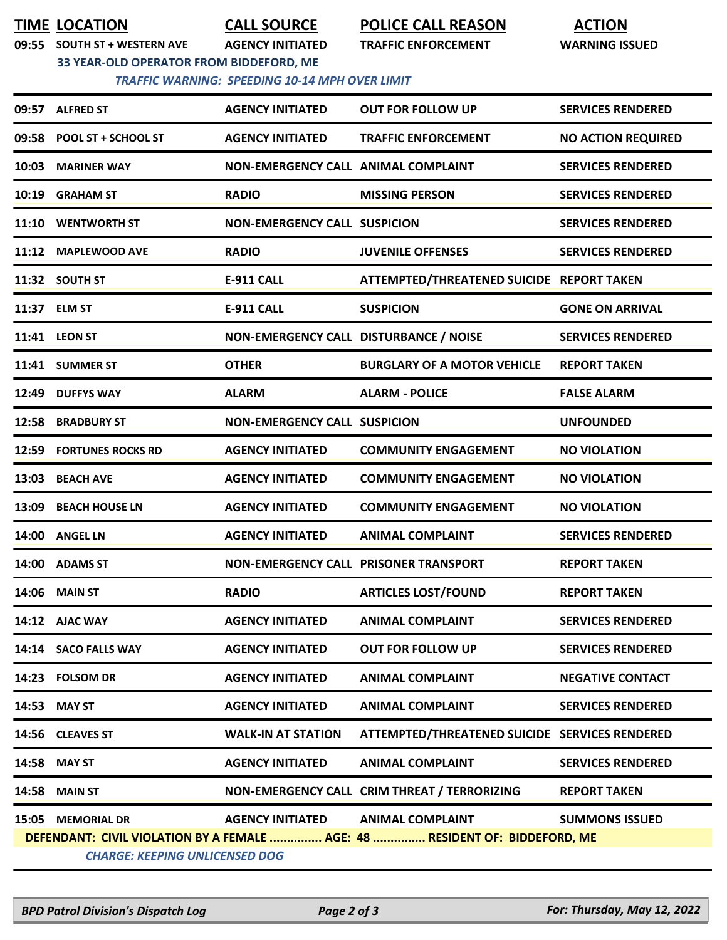**TIME LOCATION CALL SOURCE POLICE CALL REASON ACTION**

**09:55 SOUTH ST + WESTERN AVE AGENCY INITIATED TRAFFIC ENFORCEMENT WARNING ISSUED**

**33 YEAR-OLD OPERATOR FROM BIDDEFORD, ME**

 *TRAFFIC WARNING: SPEEDING 10-14 MPH OVER LIMIT* 

|       | 09:57 ALFRED ST                       | <b>AGENCY INITIATED</b>                | <b>OUT FOR FOLLOW UP</b>                                                    | <b>SERVICES RENDERED</b>  |  |  |  |  |
|-------|---------------------------------------|----------------------------------------|-----------------------------------------------------------------------------|---------------------------|--|--|--|--|
|       | 09:58 POOL ST + SCHOOL ST             | <b>AGENCY INITIATED</b>                | <b>TRAFFIC ENFORCEMENT</b>                                                  | <b>NO ACTION REQUIRED</b> |  |  |  |  |
| 10:03 | <b>MARINER WAY</b>                    | NON-EMERGENCY CALL ANIMAL COMPLAINT    |                                                                             | <b>SERVICES RENDERED</b>  |  |  |  |  |
| 10:19 | <b>GRAHAM ST</b>                      | <b>RADIO</b>                           | <b>MISSING PERSON</b>                                                       | <b>SERVICES RENDERED</b>  |  |  |  |  |
| 11:10 | <b>WENTWORTH ST</b>                   | <b>NON-EMERGENCY CALL SUSPICION</b>    |                                                                             | <b>SERVICES RENDERED</b>  |  |  |  |  |
|       | 11:12 MAPLEWOOD AVE                   | <b>RADIO</b>                           | <b>JUVENILE OFFENSES</b>                                                    | <b>SERVICES RENDERED</b>  |  |  |  |  |
|       | 11:32 SOUTH ST                        | <b>E-911 CALL</b>                      | ATTEMPTED/THREATENED SUICIDE REPORT TAKEN                                   |                           |  |  |  |  |
|       | 11:37 ELM ST                          | <b>E-911 CALL</b>                      | <b>SUSPICION</b>                                                            | <b>GONE ON ARRIVAL</b>    |  |  |  |  |
|       | 11:41 LEON ST                         | NON-EMERGENCY CALL DISTURBANCE / NOISE |                                                                             | <b>SERVICES RENDERED</b>  |  |  |  |  |
|       | 11:41 SUMMER ST                       | <b>OTHER</b>                           | <b>BURGLARY OF A MOTOR VEHICLE</b>                                          | <b>REPORT TAKEN</b>       |  |  |  |  |
| 12:49 | <b>DUFFYS WAY</b>                     | <b>ALARM</b>                           | <b>ALARM - POLICE</b>                                                       | <b>FALSE ALARM</b>        |  |  |  |  |
| 12:58 | <b>BRADBURY ST</b>                    | <b>NON-EMERGENCY CALL SUSPICION</b>    |                                                                             | <b>UNFOUNDED</b>          |  |  |  |  |
| 12:59 | <b>FORTUNES ROCKS RD</b>              | <b>AGENCY INITIATED</b>                | <b>COMMUNITY ENGAGEMENT</b>                                                 | <b>NO VIOLATION</b>       |  |  |  |  |
| 13:03 | <b>BEACH AVE</b>                      | <b>AGENCY INITIATED</b>                | <b>COMMUNITY ENGAGEMENT</b>                                                 | <b>NO VIOLATION</b>       |  |  |  |  |
| 13:09 | <b>BEACH HOUSE LN</b>                 | <b>AGENCY INITIATED</b>                | <b>COMMUNITY ENGAGEMENT</b>                                                 | <b>NO VIOLATION</b>       |  |  |  |  |
| 14:00 | <b>ANGEL LN</b>                       | <b>AGENCY INITIATED</b>                | <b>ANIMAL COMPLAINT</b>                                                     | <b>SERVICES RENDERED</b>  |  |  |  |  |
|       | 14:00 ADAMS ST                        | NON-EMERGENCY CALL PRISONER TRANSPORT  |                                                                             | <b>REPORT TAKEN</b>       |  |  |  |  |
|       | 14:06 MAIN ST                         | <b>RADIO</b>                           | <b>ARTICLES LOST/FOUND</b>                                                  | <b>REPORT TAKEN</b>       |  |  |  |  |
|       | 14:12 AJAC WAY                        | <b>AGENCY INITIATED</b>                | <b>ANIMAL COMPLAINT</b>                                                     | <b>SERVICES RENDERED</b>  |  |  |  |  |
|       | 14:14 SACO FALLS WAY                  | <b>AGENCY INITIATED</b>                | <b>OUT FOR FOLLOW UP</b>                                                    | <b>SERVICES RENDERED</b>  |  |  |  |  |
|       | 14:23 FOLSOM DR                       | <b>AGENCY INITIATED</b>                | <b>ANIMAL COMPLAINT</b>                                                     | <b>NEGATIVE CONTACT</b>   |  |  |  |  |
| 14:53 | <b>MAY ST</b>                         | <b>AGENCY INITIATED</b>                | <b>ANIMAL COMPLAINT</b>                                                     | <b>SERVICES RENDERED</b>  |  |  |  |  |
|       | 14:56 CLEAVES ST                      | <b>WALK-IN AT STATION</b>              | ATTEMPTED/THREATENED SUICIDE SERVICES RENDERED                              |                           |  |  |  |  |
| 14:58 | <b>MAY ST</b>                         | <b>AGENCY INITIATED</b>                | <b>ANIMAL COMPLAINT</b>                                                     | <b>SERVICES RENDERED</b>  |  |  |  |  |
| 14:58 | <b>MAIN ST</b>                        |                                        | NON-EMERGENCY CALL CRIM THREAT / TERRORIZING                                | <b>REPORT TAKEN</b>       |  |  |  |  |
|       | 15:05 MEMORIAL DR                     | <b>AGENCY INITIATED</b>                | <b>ANIMAL COMPLAINT</b>                                                     | <b>SUMMONS ISSUED</b>     |  |  |  |  |
|       |                                       |                                        | DEFENDANT: CIVIL VIOLATION BY A FEMALE  AGE: 48  RESIDENT OF: BIDDEFORD, ME |                           |  |  |  |  |
|       | <b>CHARGE: KEEPING UNLICENSED DOG</b> |                                        |                                                                             |                           |  |  |  |  |

*BPD Patrol Division's Dispatch Log Page 2 of 3 For: Thursday, May 12, 2022*